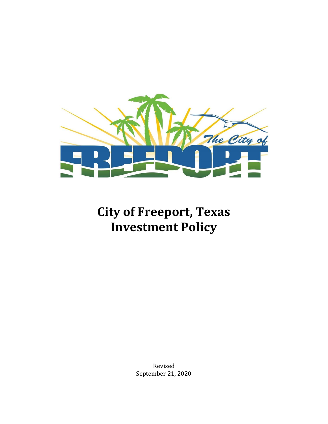

## **City of Freeport, Texas Investment Policy**

Revised September 21, 2020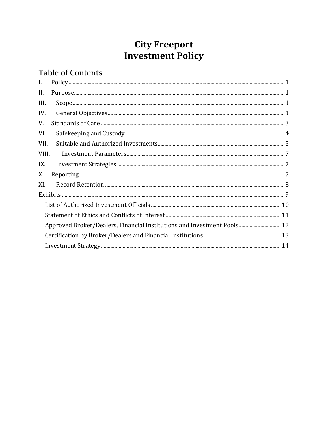# **City Freeport<br>Investment Policy**

### **Table of Contents**

| $\mathbf{I}$ . | ${\bf Policy 1} \\ {\bf policy 2} \\ {\bf 1} \\ {\bf 2} \\ {\bf 3} \\ {\bf 4} \\ {\bf 5} \\ {\bf 6} \\ {\bf 7} \\ {\bf 8} \\ {\bf 8} \\ {\bf 9} \\ {\bf 1} \\ {\bf 1} \\ {\bf 1} \\ {\bf 2} \\ {\bf 1} \\ {\bf 2} \\ {\bf 3} \\ {\bf 4} \\ {\bf 1} \\ {\bf 1} \\ {\bf 2} \\ {\bf 1} \\ {\bf 2} \\ {\bf 3} \\ {\bf 3} \\ {\bf 4} \\ {\bf 1} \\ {\bf 2} \\ {\bf 3} \\ {\bf 3} \\ {\bf 4} \\ {\bf 1} \\ {\bf 2} \\ {\bf 3} \\ {\bf$ |  |
|----------------|----------------------------------------------------------------------------------------------------------------------------------------------------------------------------------------------------------------------------------------------------------------------------------------------------------------------------------------------------------------------------------------------------------------------------------|--|
| II.            | ${\bf Purpose.} \label{thm:1} {\bf 1}$                                                                                                                                                                                                                                                                                                                                                                                           |  |
| III.           | $\texttt{Scope} \texttt{} \texttt{} \texttt{} \texttt{} \texttt{} \texttt{} \texttt{} \texttt{} \texttt{} \texttt{} \texttt{} \texttt{} \texttt{} \texttt{} \texttt{} \texttt{} \texttt{} \texttt{} \texttt{} \texttt{} \texttt{} \texttt{} \texttt{} \texttt{} \texttt{} \texttt{} \texttt{} \texttt{} \texttt{} \texttt{} \texttt{} \texttt{} \texttt{} \texttt{} \texttt{} \texttt{$                                          |  |
| IV.            |                                                                                                                                                                                                                                                                                                                                                                                                                                  |  |
| V.             |                                                                                                                                                                                                                                                                                                                                                                                                                                  |  |
| VI.            |                                                                                                                                                                                                                                                                                                                                                                                                                                  |  |
| VII.           |                                                                                                                                                                                                                                                                                                                                                                                                                                  |  |
| VIII.          |                                                                                                                                                                                                                                                                                                                                                                                                                                  |  |
| IX.            | $\label{thm:main} {\bf Investment\ Strategies\ \  \  \  \  \  \  \  \  \  \  \  \  \  \  \ .} 7$                                                                                                                                                                                                                                                                                                                                 |  |
| X.             |                                                                                                                                                                                                                                                                                                                                                                                                                                  |  |
| XI.            |                                                                                                                                                                                                                                                                                                                                                                                                                                  |  |
|                |                                                                                                                                                                                                                                                                                                                                                                                                                                  |  |
|                |                                                                                                                                                                                                                                                                                                                                                                                                                                  |  |
|                |                                                                                                                                                                                                                                                                                                                                                                                                                                  |  |
|                | Approved Broker/Dealers, Financial Institutions and Investment Pools 12                                                                                                                                                                                                                                                                                                                                                          |  |
|                |                                                                                                                                                                                                                                                                                                                                                                                                                                  |  |
|                |                                                                                                                                                                                                                                                                                                                                                                                                                                  |  |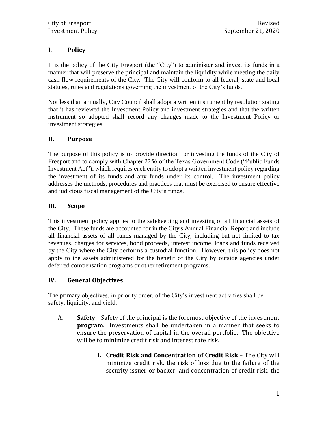#### <span id="page-2-0"></span>**I. Policy**

It is the policy of the City Freeport (the "City") to administer and invest its funds in a manner that will preserve the principal and maintain the liquidity while meeting the daily cash flow requirements of the City. The City will conform to all federal, state and local statutes, rules and regulations governing the investment of the City's funds.

Not less than annually, City Council shall adopt a written instrument by resolution stating that it has reviewed the Investment Policy and investment strategies and that the written instrument so adopted shall record any changes made to the Investment Policy or investment strategies.

#### <span id="page-2-1"></span>**II. Purpose**

The purpose of this policy is to provide direction for investing the funds of the City of Freeport and to comply with Chapter 2256 of the Texas Government Code ("Public Funds Investment Act"), which requires each entity to adopt a written investment policy regarding the investment of its funds and any funds under its control. The investment policy addresses the methods, procedures and practices that must be exercised to ensure effective and judicious fiscal management of the City's funds.

#### <span id="page-2-2"></span>**III. Scope**

This investment policy applies to the safekeeping and investing of all financial assets of the City. These funds are accounted for in the City's Annual Financial Report and include all financial assets of all funds managed by the City, including but not limited to tax revenues, charges for services, bond proceeds, interest income, loans and funds received by the City where the City performs a custodial function. However, this policy does not apply to the assets administered for the benefit of the City by outside agencies under deferred compensation programs or other retirement programs.

#### <span id="page-2-3"></span>**IV. General Objectives**

The primary objectives, in priority order, of the City's investment activities shall be safety, liquidity, and yield:

- A. **Safety** Safety of the principal is the foremost objective of the investment **program**. Investments shall be undertaken in a manner that seeks to ensure the preservation of capital in the overall portfolio. The objective will be to minimize credit risk and interest rate risk.
	- **i. Credit Risk and Concentration of Credit Risk** The City will minimize credit risk, the risk of loss due to the failure of the security issuer or backer, and concentration of credit risk, the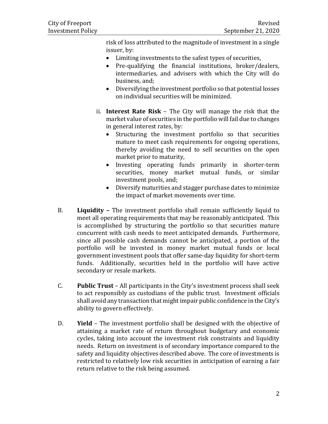risk of loss attributed to the magnitude of investment in a single issuer, by:

- Limiting investments to the safest types of securities,
- Pre-qualifying the financial institutions, broker/dealers, intermediaries, and advisers with which the City will do business, and;
- Diversifying the investment portfolio so that potential losses on individual securities will be minimized.
- ii. **Interest Rate Risk** The City will manage the risk that the market value of securities in the portfolio will fail due to changes in general interest rates, by:
	- Structuring the investment portfolio so that securities mature to meet cash requirements for ongoing operations, thereby avoiding the need to sell securities on the open market prior to maturity,
	- Investing operating funds primarily in shorter-term securities, money market mutual funds, or similar investment pools, and;
	- Diversify maturities and stagger purchase dates to minimize the impact of market movements over time.
- B. **Liquidity –** The investment portfolio shall remain sufficiently liquid to meet all operating requirements that may be reasonably anticipated. This is accomplished by structuring the portfolio so that securities mature concurrent with cash needs to meet anticipated demands. Furthermore, since all possible cash demands cannot be anticipated, a portion of the portfolio will be invested in money market mutual funds or local government investment pools that offer same-day liquidity for short-term funds. Additionally, securities held in the portfolio will have active secondary or resale markets.
- C. **Public Trust** All participants in the City's investment process shall seek to act responsibly as custodians of the public trust. Investment officials shall avoid any transaction that might impair public confidence in the City's ability to govern effectively.
- D. **Yield** The investment portfolio shall be designed with the objective of attaining a market rate of return throughout budgetary and economic cycles, taking into account the investment risk constraints and liquidity needs. Return on investment is of secondary importance compared to the safety and liquidity objectives described above. The core of investments is restricted to relatively low risk securities in anticipation of earning a fair return relative to the risk being assumed.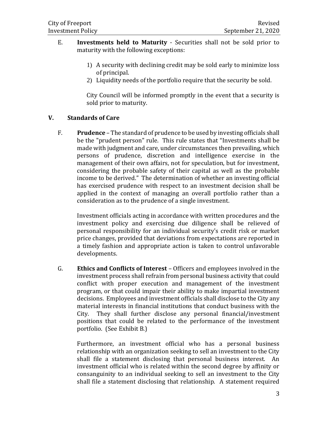- E. **Investments held to Maturity** Securities shall not be sold prior to maturity with the following exceptions:
	- 1) A security with declining credit may be sold early to minimize loss of principal.
	- 2) Liquidity needs of the portfolio require that the security be sold.

City Council will be informed promptly in the event that a security is sold prior to maturity.

#### <span id="page-4-0"></span>**V. Standards of Care**

F. **Prudence** – The standard of prudence to be used by investing officials shall be the "prudent person" rule. This rule states that "Investments shall be made with judgment and care, under circumstances then prevailing, which persons of prudence, discretion and intelligence exercise in the management of their own affairs, not for speculation, but for investment, considering the probable safety of their capital as well as the probable income to be derived." The determination of whether an investing official has exercised prudence with respect to an investment decision shall be applied in the context of managing an overall portfolio rather than a consideration as to the prudence of a single investment.

Investment officials acting in accordance with written procedures and the investment policy and exercising due diligence shall be relieved of personal responsibility for an individual security's credit risk or market price changes, provided that deviations from expectations are reported in a timely fashion and appropriate action is taken to control unfavorable developments.

G. **Ethics and Conflicts of Interest** – Officers and employees involved in the investment process shall refrain from personal business activity that could conflict with proper execution and management of the investment program, or that could impair their ability to make impartial investment decisions. Employees and investment officials shall disclose to the City any material interests in financial institutions that conduct business with the City. They shall further disclose any personal financial/investment positions that could be related to the performance of the investment portfolio. (See Exhibit B.)

Furthermore, an investment official who has a personal business relationship with an organization seeking to sell an investment to the City shall file a statement disclosing that personal business interest. An investment official who is related within the second degree by affinity or consanguinity to an individual seeking to sell an investment to the City shall file a statement disclosing that relationship. A statement required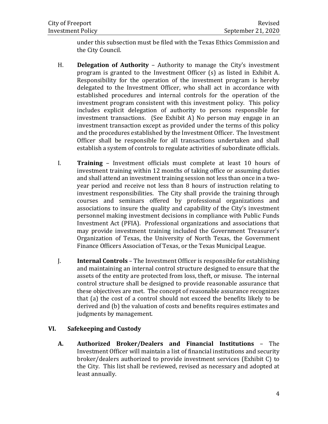under this subsection must be filed with the Texas Ethics Commission and the City Council.

- H. **Delegation of Authority** Authority to manage the City's investment program is granted to the Investment Officer (s) as listed in Exhibit A. Responsibility for the operation of the investment program is hereby delegated to the Investment Officer, who shall act in accordance with established procedures and internal controls for the operation of the investment program consistent with this investment policy. This policy includes explicit delegation of authority to persons responsible for investment transactions. (See Exhibit A) No person may engage in an investment transaction except as provided under the terms of this policy and the procedures established by the Investment Officer. The Investment Officer shall be responsible for all transactions undertaken and shall establish a system of controls to regulate activities of subordinate officials.
- I. **Training** Investment officials must complete at least 10 hours of investment training within 12 months of taking office or assuming duties and shall attend an investment training session not less than once in a twoyear period and receive not less than 8 hours of instruction relating to investment responsibilities. The City shall provide the training through courses and seminars offered by professional organizations and associations to insure the quality and capability of the City's investment personnel making investment decisions in compliance with Public Funds Investment Act (PFIA). Professional organizations and associations that may provide investment training included the Government Treasurer's Organization of Texas, the University of North Texas, the Government Finance Officers Association of Texas, or the Texas Municipal League.
- J. **Internal Controls** The Investment Officer is responsible for establishing and maintaining an internal control structure designed to ensure that the assets of the entity are protected from loss, theft, or misuse. The internal control structure shall be designed to provide reasonable assurance that these objectives are met. The concept of reasonable assurance recognizes that (a) the cost of a control should not exceed the benefits likely to be derived and (b) the valuation of costs and benefits requires estimates and judgments by management.

#### <span id="page-5-0"></span>**VI. Safekeeping and Custody**

**A. Authorized Broker/Dealers and Financial Institutions** – The Investment Officer will maintain a list of financial institutions and security broker/dealers authorized to provide investment services (Exhibit C) to the City. This list shall be reviewed, revised as necessary and adopted at least annually.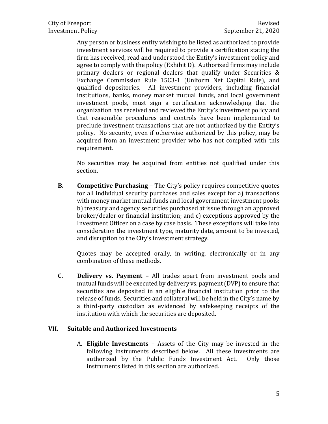Any person or business entity wishing to be listed as authorized to provide investment services will be required to provide a certification stating the firm has received, read and understood the Entity's investment policy and agree to comply with the policy (Exhibit D). Authorized firms may include primary dealers or regional dealers that qualify under Securities & Exchange Commission Rule 15C3-1 (Uniform Net Capital Rule), and qualified depositories. All investment providers, including financial institutions, banks, money market mutual funds, and local government investment pools, must sign a certification acknowledging that the organization has received and reviewed the Entity's investment policy and that reasonable procedures and controls have been implemented to preclude investment transactions that are not authorized by the Entity's policy. No security, even if otherwise authorized by this policy, may be acquired from an investment provider who has not complied with this requirement.

No securities may be acquired from entities not qualified under this section.

**B. Competitive Purchasing –** The City's policy requires competitive quotes for all individual security purchases and sales except for a) transactions with money market mutual funds and local government investment pools; b) treasury and agency securities purchased at issue through an approved broker/dealer or financial institution; and c) exceptions approved by the Investment Officer on a case by case basis. These exceptions will take into consideration the investment type, maturity date, amount to be invested, and disruption to the City's investment strategy.

Quotes may be accepted orally, in writing, electronically or in any combination of these methods.

**C. Delivery vs. Payment –** All trades apart from investment pools and mutual funds will be executed by delivery vs. payment (DVP) to ensure that securities are deposited in an eligible financial institution prior to the release of funds. Securities and collateral will be held in the City's name by a third-party custodian as evidenced by safekeeping receipts of the institution with which the securities are deposited.

#### <span id="page-6-0"></span>**VII. Suitable and Authorized Investments**

A. **Eligible Investments –** Assets of the City may be invested in the following instruments described below. All these investments are authorized by the Public Funds Investment Act. Only those instruments listed in this section are authorized.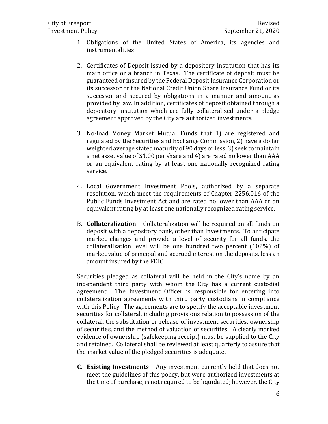- 1. Obligations of the United States of America, its agencies and instrumentalities
- 2. Certificates of Deposit issued by a depository institution that has its main office or a branch in Texas. The certificate of deposit must be guaranteed or insured by the Federal Deposit Insurance Corporation or its successor or the National Credit Union Share Insurance Fund or its successor and secured by obligations in a manner and amount as provided by law. In addition, certificates of deposit obtained through a depository institution which are fully collateralized under a pledge agreement approved by the City are authorized investments*.*
- 3. No-load Money Market Mutual Funds that 1) are registered and regulated by the Securities and Exchange Commission, 2) have a dollar weighted average stated maturity of 90 days or less, 3) seek to maintain a net asset value of \$1.00 per share and 4) are rated no lower than AAA or an equivalent rating by at least one nationally recognized rating service.
- 4. Local Government Investment Pools, authorized by a separate resolution, which meet the requirements of Chapter 2256.016 of the Public Funds Investment Act and are rated no lower than AAA or an equivalent rating by at least one nationally recognized rating service.
- B. **Collateralization –** Collateralization will be required on all funds on deposit with a depository bank, other than investments. To anticipate market changes and provide a level of security for all funds, the collateralization level will be one hundred two percent (102%) of market value of principal and accrued interest on the deposits, less an amount insured by the FDIC.

Securities pledged as collateral will be held in the City's name by an independent third party with whom the City has a current custodial agreement. The Investment Officer is responsible for entering into collateralization agreements with third party custodians in compliance with this Policy. The agreements are to specify the acceptable investment securities for collateral, including provisions relation to possession of the collateral, the substitution or release of investment securities, ownership of securities, and the method of valuation of securities. A clearly marked evidence of ownership (safekeeping receipt) must be supplied to the City and retained. Collateral shall be reviewed at least quarterly to assure that the market value of the pledged securities is adequate.

**C. Existing Investments** – Any investment currently held that does not meet the guidelines of this policy, but were authorized investments at the time of purchase, is not required to be liquidated; however, the City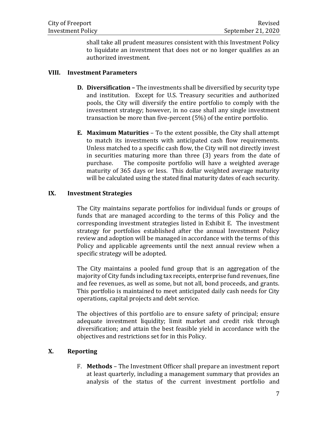shall take all prudent measures consistent with this Investment Policy to liquidate an investment that does not or no longer qualifies as an authorized investment.

#### <span id="page-8-0"></span>**VIII. Investment Parameters**

- **D. Diversification –** The investments shall be diversified by security type and institution. Except for U.S. Treasury securities and authorized pools, the City will diversify the entire portfolio to comply with the investment strategy; however, in no case shall any single investment transaction be more than five-percent (5%) of the entire portfolio.
- **E. Maximum Maturities** To the extent possible, the City shall attempt to match its investments with anticipated cash flow requirements. Unless matched to a specific cash flow, the City will not directly invest in securities maturing more than three (3) years from the date of purchase. The composite portfolio will have a weighted average maturity of 365 days or less. This dollar weighted average maturity will be calculated using the stated final maturity dates of each security.

#### <span id="page-8-1"></span>**IX. Investment Strategies**

The City maintains separate portfolios for individual funds or groups of funds that are managed according to the terms of this Policy and the corresponding investment strategies listed in Exhibit E. The investment strategy for portfolios established after the annual Investment Policy review and adoption will be managed in accordance with the terms of this Policy and applicable agreements until the next annual review when a specific strategy will be adopted.

The City maintains a pooled fund group that is an aggregation of the majority of City funds including tax receipts, enterprise fund revenues, fine and fee revenues, as well as some, but not all, bond proceeds, and grants. This portfolio is maintained to meet anticipated daily cash needs for City operations, capital projects and debt service.

The objectives of this portfolio are to ensure safety of principal; ensure adequate investment liquidity; limit market and credit risk through diversification; and attain the best feasible yield in accordance with the objectives and restrictions set for in this Policy.

#### <span id="page-8-2"></span>**X. Reporting**

F. **Methods** – The Investment Officer shall prepare an investment report at least quarterly, including a management summary that provides an analysis of the status of the current investment portfolio and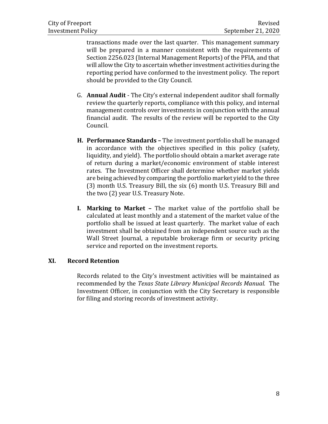transactions made over the last quarter. This management summary will be prepared in a manner consistent with the requirements of Section 2256.023 (Internal Management Reports) of the PFIA, and that will allow the City to ascertain whether investment activities during the reporting period have conformed to the investment policy. The report should be provided to the City Council.

- G. **Annual Audit** The City's external independent auditor shall formally review the quarterly reports, compliance with this policy, and internal management controls over investments in conjunction with the annual financial audit. The results of the review will be reported to the City Council.
- **H. Performance Standards –** The investment portfolio shall be managed in accordance with the objectives specified in this policy (safety, liquidity, and yield). The portfolio should obtain a market average rate of return during a market/economic environment of stable interest rates. The Investment Officer shall determine whether market yields are being achieved by comparing the portfolio market yield to the three (3) month U.S. Treasury Bill, the six (6) month U.S. Treasury Bill and the two (2) year U.S. Treasury Note.
- **I. Marking to Market –** The market value of the portfolio shall be calculated at least monthly and a statement of the market value of the portfolio shall be issued at least quarterly. The market value of each investment shall be obtained from an independent source such as the Wall Street Journal, a reputable brokerage firm or security pricing service and reported on the investment reports.

#### <span id="page-9-0"></span>**XI. Record Retention**

Records related to the City's investment activities will be maintained as recommended by the *Texas State Library Municipal Records Manual.* The Investment Officer, in conjunction with the City Secretary is responsible for filing and storing records of investment activity.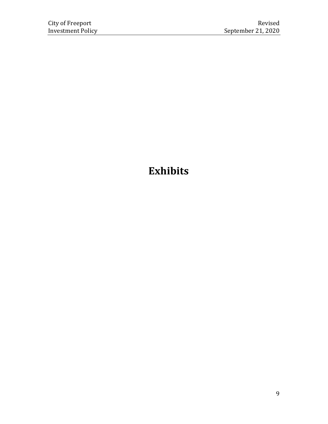## <span id="page-10-0"></span>**Exhibits**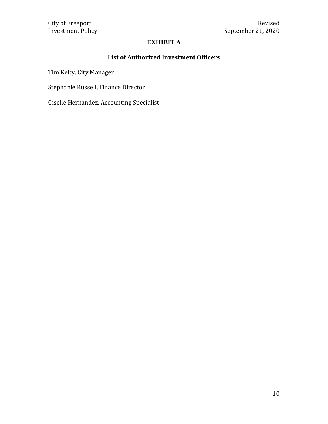#### **EXHIBIT A**

#### **List of Authorized Investment Officers**

<span id="page-11-0"></span>Tim Kelty, City Manager

Stephanie Russell, Finance Director

Giselle Hernandez, Accounting Specialist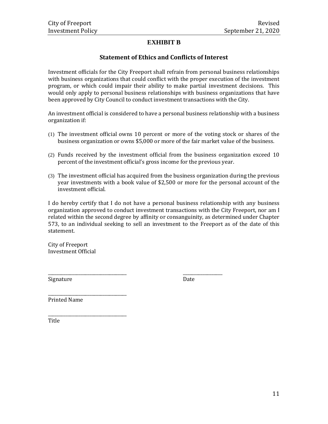#### **EXHIBIT B**

#### **Statement of Ethics and Conflicts of Interest**

<span id="page-12-0"></span>Investment officials for the City Freeport shall refrain from personal business relationships with business organizations that could conflict with the proper execution of the investment program, or which could impair their ability to make partial investment decisions. This would only apply to personal business relationships with business organizations that have been approved by City Council to conduct investment transactions with the City.

An investment official is considered to have a personal business relationship with a business organization if:

- (1) The investment official owns 10 percent or more of the voting stock or shares of the business organization or owns \$5,000 or more of the fair market value of the business.
- (2) Funds received by the investment official from the business organization exceed 10 percent of the investment official's gross income for the previous year.
- (3) The investment official has acquired from the business organization during the previous year investments with a book value of \$2,500 or more for the personal account of the investment official.

I do hereby certify that I do not have a personal business relationship with any business organization approved to conduct investment transactions with the City Freeport, nor am I related within the second degree by affinity or consanguinity, as determined under Chapter 573, to an individual seeking to sell an investment to the Freeport as of the date of this statement.

\_\_\_\_\_\_\_\_\_\_\_\_\_\_\_\_\_\_\_\_\_\_\_\_\_\_\_\_\_\_\_\_\_\_\_\_ \_\_\_\_\_\_\_\_\_\_\_\_\_\_\_\_\_\_

City of Freeport Investment Official

Signature Date

Printed Name

\_\_\_\_\_\_\_\_\_\_\_\_\_\_\_\_\_\_\_\_\_\_\_\_\_\_\_\_\_\_\_\_\_\_\_\_

\_\_\_\_\_\_\_\_\_\_\_\_\_\_\_\_\_\_\_\_\_\_\_\_\_\_\_\_\_\_\_\_\_\_\_\_

Title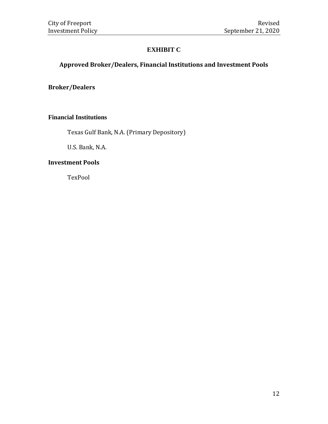#### **EXHIBIT C**

#### <span id="page-13-0"></span>**Approved Broker/Dealers, Financial Institutions and Investment Pools**

**Broker/Dealers**

#### **Financial Institutions**

Texas Gulf Bank, N.A. (Primary Depository)

U.S. Bank, N.A.

#### **Investment Pools**

TexPool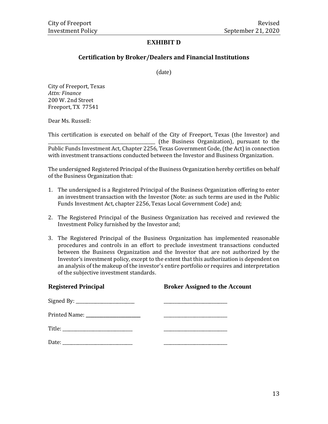#### **EXHIBIT D**

#### **Certification by Broker/Dealers and Financial Institutions**

(date)

<span id="page-14-0"></span>City of Freeport, Texas *Attn: Finance* 200 W. 2nd Street Freeport, TX 77541

Dear Ms. Russell*:*

This certification is executed on behalf of the City of Freeport, Texas (the Investor) and \_\_\_\_\_\_\_\_\_\_\_\_\_\_\_\_\_\_\_\_\_\_\_\_\_\_\_\_\_\_\_\_\_\_\_\_\_\_\_\_\_\_\_\_\_\_\_\_\_ (the Business Organization), pursuant to the Public Funds Investment Act, Chapter 2256, Texas Government Code, (the Act) in connection with investment transactions conducted between the Investor and Business Organization.

The undersigned Registered Principal of the Business Organization hereby certifies on behalf of the Business Organization that:

- 1. The undersigned is a Registered Principal of the Business Organization offering to enter an investment transaction with the Investor (Note: as such terms are used in the Public Funds Investment Act, chapter 2256, Texas Local Government Code) and;
- 2. The Registered Principal of the Business Organization has received and reviewed the Investment Policy furnished by the Investor and;
- 3. The Registered Principal of the Business Organization has implemented reasonable procedures and controls in an effort to preclude investment transactions conducted between the Business Organization and the Investor that are not authorized by the Investor's investment policy, except to the extent that this authorization is dependent on an analysis of the makeup of the investor's entire portfolio or requires and interpretation of the subjective investment standards.

| <b>Registered Principal</b> | <b>Broker Assigned to the Account</b>                                                                                    |  |
|-----------------------------|--------------------------------------------------------------------------------------------------------------------------|--|
|                             | <u> 1989 - Johann John Stein, market fan it ferstjer fan it ferstjer fan it ferstjer fan it ferstjer fan it ferstjer</u> |  |
|                             | <u> 1986 - John Stein, Amerikaansk politiker (</u>                                                                       |  |
|                             |                                                                                                                          |  |
|                             |                                                                                                                          |  |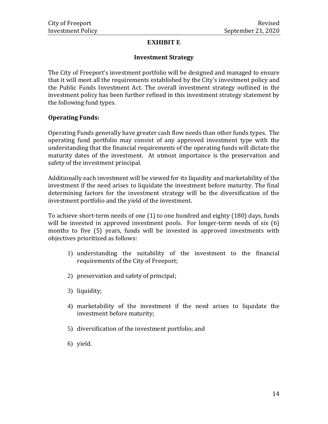#### **EXHIBIT E**

#### **Investment Strategy**

<span id="page-15-0"></span>The City of Freeport's investment portfolio will be designed and managed to ensure that it will meet all the requirements established by the City's investment policy and the Public Funds Investment Act. The overall investment strategy outlined in the investment policy has been further refined in this investment strategy statement by the following fund types.

#### **Operating Funds:**

Operating Funds generally have greater cash flow needs than other funds types. The operating fund portfolio may consist of any approved investment type with the understanding that the financial requirements of the operating funds will dictate the maturity dates of the investment. At utmost importance is the preservation and safety of the investment principal.

Additionally each investment will be viewed for its liquidity and marketability of the investment if the need arises to liquidate the investment before maturity. The final determining factors for the investment strategy will be the diversification of the investment portfolio and the yield of the investment.

To achieve short-term needs of one (1) to one hundred and eighty (180) days, funds will be invested in approved investment pools. For longer-term needs of six (6) months to five (5) years, funds will be invested in approved investments with objectives prioritized as follows:

- 1) understanding the suitability of the investment to the financial requirements of the City of Freeport;
- 2) preservation and safety of principal;
- 3) liquidity;
- 4) marketability of the investment if the need arises to liquidate the investment before maturity;
- 5) diversification of the investment portfolio; and
- 6) yield.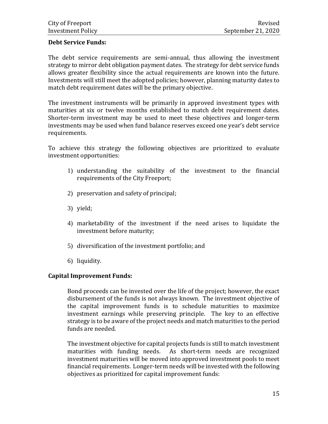#### **Debt Service Funds:**

The debt service requirements are semi-annual, thus allowing the investment strategy to mirror debt obligation payment dates. The strategy for debt service funds allows greater flexibility since the actual requirements are known into the future. Investments will still meet the adopted policies; however, planning maturity dates to match debt requirement dates will be the primary objective.

The investment instruments will be primarily in approved investment types with maturities at six or twelve months established to match debt requirement dates. Shorter-term investment may be used to meet these objectives and longer-term investments may be used when fund balance reserves exceed one year's debt service requirements.

To achieve this strategy the following objectives are prioritized to evaluate investment opportunities:

- 1) understanding the suitability of the investment to the financial requirements of the City Freeport;
- 2) preservation and safety of principal;
- 3) yield;
- 4) marketability of the investment if the need arises to liquidate the investment before maturity;
- 5) diversification of the investment portfolio; and
- 6) liquidity.

#### **Capital Improvement Funds:**

Bond proceeds can be invested over the life of the project; however, the exact disbursement of the funds is not always known. The investment objective of the capital improvement funds is to schedule maturities to maximize investment earnings while preserving principle. The key to an effective strategy is to be aware of the project needs and match maturities to the period funds are needed.

The investment objective for capital projects funds is still to match investment maturities with funding needs. As short-term needs are recognized investment maturities will be moved into approved investment pools to meet financial requirements. Longer-term needs will be invested with the following objectives as prioritized for capital improvement funds: